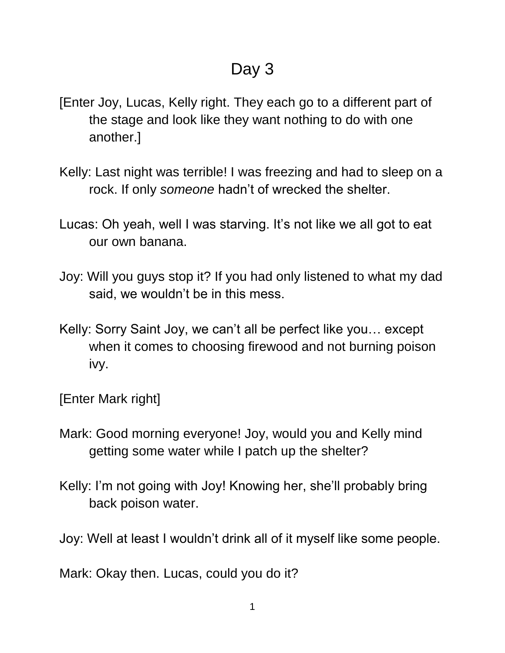- [Enter Joy, Lucas, Kelly right. They each go to a different part of the stage and look like they want nothing to do with one another.]
- Kelly: Last night was terrible! I was freezing and had to sleep on a rock. If only *someone* hadn't of wrecked the shelter.
- Lucas: Oh yeah, well I was starving. It's not like we all got to eat our own banana.
- Joy: Will you guys stop it? If you had only listened to what my dad said, we wouldn't be in this mess.
- Kelly: Sorry Saint Joy, we can't all be perfect like you… except when it comes to choosing firewood and not burning poison ivy.

[Enter Mark right]

- Mark: Good morning everyone! Joy, would you and Kelly mind getting some water while I patch up the shelter?
- Kelly: I'm not going with Joy! Knowing her, she'll probably bring back poison water.

Joy: Well at least I wouldn't drink all of it myself like some people.

Mark: Okay then. Lucas, could you do it?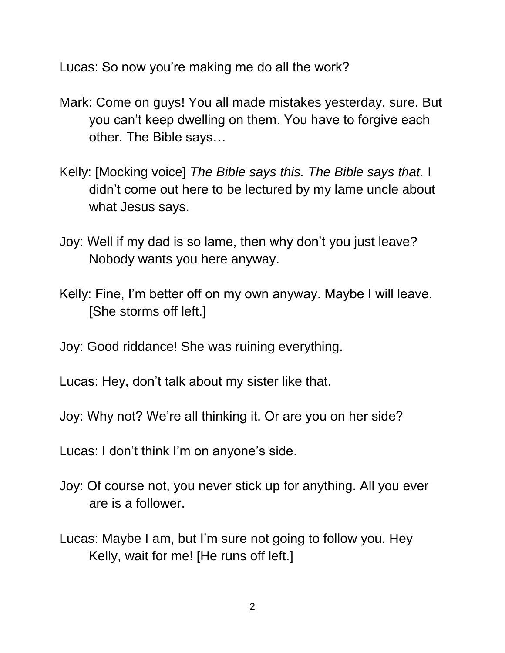Lucas: So now you're making me do all the work?

- Mark: Come on guys! You all made mistakes yesterday, sure. But you can't keep dwelling on them. You have to forgive each other. The Bible says…
- Kelly: [Mocking voice] *The Bible says this. The Bible says that.* I didn't come out here to be lectured by my lame uncle about what Jesus says.
- Joy: Well if my dad is so lame, then why don't you just leave? Nobody wants you here anyway.
- Kelly: Fine, I'm better off on my own anyway. Maybe I will leave. [She storms off left.]
- Joy: Good riddance! She was ruining everything.

Lucas: Hey, don't talk about my sister like that.

Joy: Why not? We're all thinking it. Or are you on her side?

Lucas: I don't think I'm on anyone's side.

- Joy: Of course not, you never stick up for anything. All you ever are is a follower.
- Lucas: Maybe I am, but I'm sure not going to follow you. Hey Kelly, wait for me! [He runs off left.]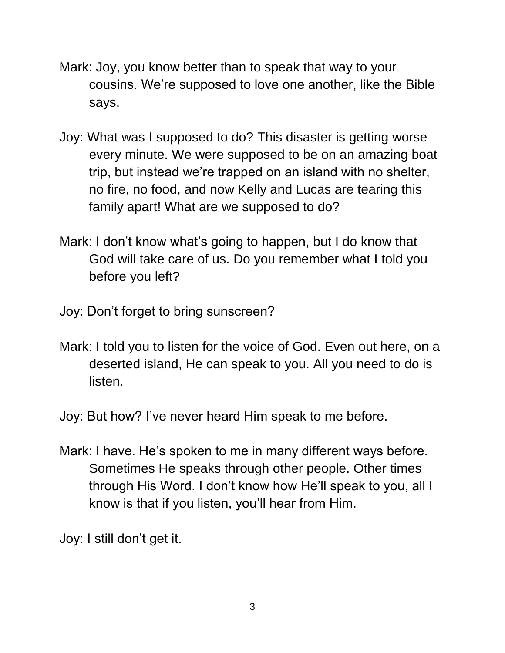- Mark: Joy, you know better than to speak that way to your cousins. We're supposed to love one another, like the Bible says.
- Joy: What was I supposed to do? This disaster is getting worse every minute. We were supposed to be on an amazing boat trip, but instead we're trapped on an island with no shelter, no fire, no food, and now Kelly and Lucas are tearing this family apart! What are we supposed to do?
- Mark: I don't know what's going to happen, but I do know that God will take care of us. Do you remember what I told you before you left?
- Joy: Don't forget to bring sunscreen?
- Mark: I told you to listen for the voice of God. Even out here, on a deserted island, He can speak to you. All you need to do is listen.

Joy: But how? I've never heard Him speak to me before.

Mark: I have. He's spoken to me in many different ways before. Sometimes He speaks through other people. Other times through His Word. I don't know how He'll speak to you, all I know is that if you listen, you'll hear from Him.

Joy: I still don't get it.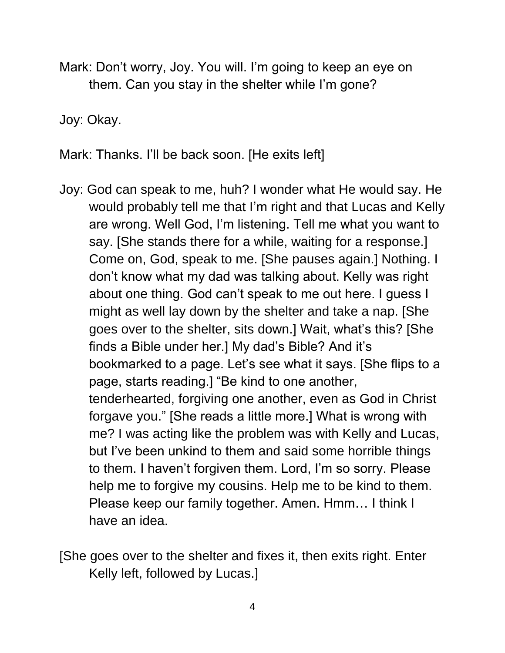Mark: Don't worry, Joy. You will. I'm going to keep an eye on them. Can you stay in the shelter while I'm gone?

Joy: Okay.

Mark: Thanks. I'll be back soon. [He exits left]

- Joy: God can speak to me, huh? I wonder what He would say. He would probably tell me that I'm right and that Lucas and Kelly are wrong. Well God, I'm listening. Tell me what you want to say. [She stands there for a while, waiting for a response.] Come on, God, speak to me. [She pauses again.] Nothing. I don't know what my dad was talking about. Kelly was right about one thing. God can't speak to me out here. I guess I might as well lay down by the shelter and take a nap. [She goes over to the shelter, sits down.] Wait, what's this? [She finds a Bible under her.] My dad's Bible? And it's bookmarked to a page. Let's see what it says. [She flips to a page, starts reading.] "Be kind to one another, tenderhearted, forgiving one another, even as God in Christ forgave you." [She reads a little more.] What is wrong with me? I was acting like the problem was with Kelly and Lucas, but I've been unkind to them and said some horrible things to them. I haven't forgiven them. Lord, I'm so sorry. Please help me to forgive my cousins. Help me to be kind to them. Please keep our family together. Amen. Hmm… I think I have an idea.
- [She goes over to the shelter and fixes it, then exits right. Enter Kelly left, followed by Lucas.]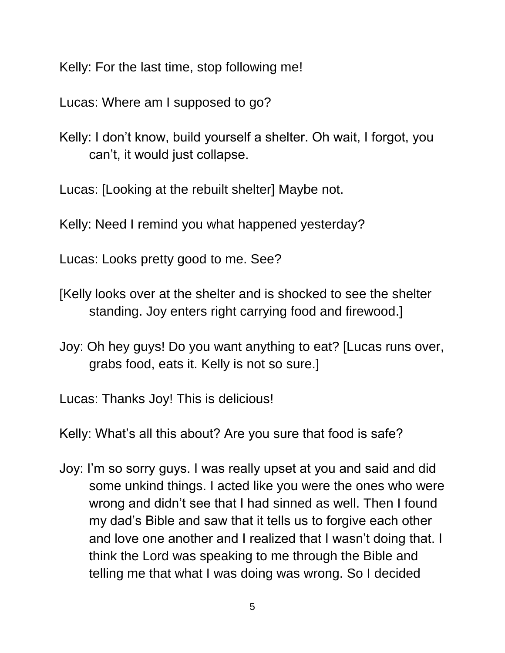Kelly: For the last time, stop following me!

Lucas: Where am I supposed to go?

Kelly: I don't know, build yourself a shelter. Oh wait, I forgot, you can't, it would just collapse.

Lucas: [Looking at the rebuilt shelter] Maybe not.

Kelly: Need I remind you what happened yesterday?

Lucas: Looks pretty good to me. See?

[Kelly looks over at the shelter and is shocked to see the shelter standing. Joy enters right carrying food and firewood.]

Joy: Oh hey guys! Do you want anything to eat? [Lucas runs over, grabs food, eats it. Kelly is not so sure.]

Lucas: Thanks Joy! This is delicious!

Kelly: What's all this about? Are you sure that food is safe?

Joy: I'm so sorry guys. I was really upset at you and said and did some unkind things. I acted like you were the ones who were wrong and didn't see that I had sinned as well. Then I found my dad's Bible and saw that it tells us to forgive each other and love one another and I realized that I wasn't doing that. I think the Lord was speaking to me through the Bible and telling me that what I was doing was wrong. So I decided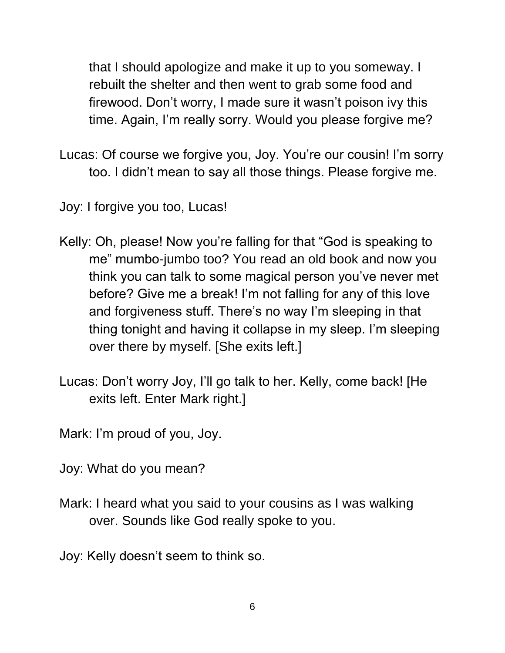that I should apologize and make it up to you someway. I rebuilt the shelter and then went to grab some food and firewood. Don't worry, I made sure it wasn't poison ivy this time. Again, I'm really sorry. Would you please forgive me?

Lucas: Of course we forgive you, Joy. You're our cousin! I'm sorry too. I didn't mean to say all those things. Please forgive me.

Joy: I forgive you too, Lucas!

- Kelly: Oh, please! Now you're falling for that "God is speaking to me" mumbo-jumbo too? You read an old book and now you think you can talk to some magical person you've never met before? Give me a break! I'm not falling for any of this love and forgiveness stuff. There's no way I'm sleeping in that thing tonight and having it collapse in my sleep. I'm sleeping over there by myself. [She exits left.]
- Lucas: Don't worry Joy, I'll go talk to her. Kelly, come back! [He exits left. Enter Mark right.]

Mark: I'm proud of you, Joy.

Joy: What do you mean?

Mark: I heard what you said to your cousins as I was walking over. Sounds like God really spoke to you.

Joy: Kelly doesn't seem to think so.